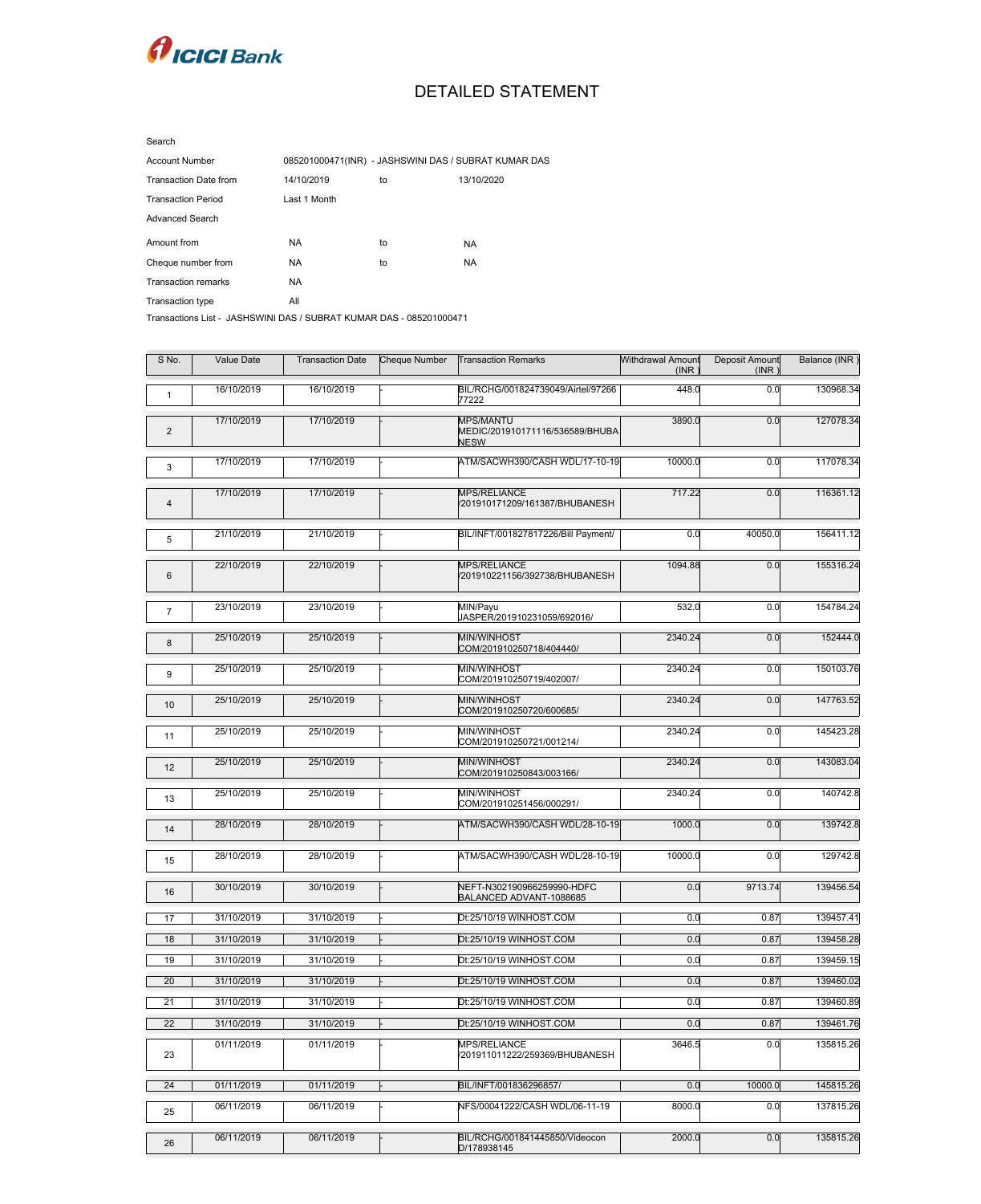

## DETAILED STATEMENT

| Search                       |                                                      |    |            |
|------------------------------|------------------------------------------------------|----|------------|
| <b>Account Number</b>        | 085201000471(INR) - JASHSWINI DAS / SUBRAT KUMAR DAS |    |            |
| <b>Transaction Date from</b> | 14/10/2019                                           | to | 13/10/2020 |
| <b>Transaction Period</b>    | Last 1 Month                                         |    |            |
| <b>Advanced Search</b>       |                                                      |    |            |
| Amount from                  | <b>NA</b>                                            | to | <b>NA</b>  |
| Cheque number from           | NA.                                                  | to | NA.        |
| <b>Transaction remarks</b>   | <b>NA</b>                                            |    |            |
| Transaction type             | All                                                  |    |            |

Transactions List - JASHSWINI DAS / SUBRAT KUMAR DAS - 085201000471

| S No.           | <b>Value Date</b> | <b>Transaction Date</b> | <b>Cheque Number</b> | <b>Transaction Remarks</b>                                  | Withdrawal Amount<br>(INR) | Deposit Amount<br>(INR) | Balance (INR |
|-----------------|-------------------|-------------------------|----------------------|-------------------------------------------------------------|----------------------------|-------------------------|--------------|
| $\mathbf{1}$    | 16/10/2019        | 16/10/2019              |                      | BIL/RCHG/001824739049/Airtel/97266<br>77222                 | 448.0                      | 0.0                     | 130968.34    |
| $\overline{2}$  | 17/10/2019        | 17/10/2019              |                      | MPS/MANTU<br>MEDIC/201910171116/536589/BHUBA<br><b>NESW</b> | 3890.0                     | 0.0                     | 127078.34    |
| $\mathfrak{S}$  | 17/10/2019        | 17/10/2019              |                      | ATM/SACWH390/CASH WDL/17-10-19                              | 10000.0                    | 0.0                     | 117078.34    |
| $\overline{4}$  | 17/10/2019        | 17/10/2019              |                      | MPS/RELIANCE<br>/201910171209/161387/BHUBANESH              | 717.22                     | 0.0                     | 116361.12    |
| $5\phantom{.0}$ | 21/10/2019        | 21/10/2019              |                      | BIL/INFT/001827817226/Bill Payment/                         | 0.0                        | 40050.0                 | 156411.12    |
| 6               | 22/10/2019        | 22/10/2019              |                      | MPS/RELIANCE<br>/201910221156/392738/BHUBANESH              | 1094.88                    | 0.0                     | 155316.24    |
| $\overline{7}$  | 23/10/2019        | 23/10/2019              |                      | MIN/Payu<br>JASPER/201910231059/692016/                     | 532.0                      | 0.0                     | 154784.24    |
| 8               | 25/10/2019        | 25/10/2019              |                      | MIN/WINHOST<br>COM/201910250718/404440/                     | 2340.24                    | 0.0                     | 152444.0     |
| 9               | 25/10/2019        | 25/10/2019              |                      | MIN/WINHOST<br>COM/201910250719/402007/                     | 2340.24                    | 0.0                     | 150103.76    |
| 10              | 25/10/2019        | 25/10/2019              |                      | MIN/WINHOST<br>COM/201910250720/600685/                     | 2340.24                    | 0.0                     | 147763.52    |
| 11              | 25/10/2019        | 25/10/2019              |                      | MIN/WINHOST<br>COM/201910250721/001214/                     | 2340.24                    | 0.0                     | 145423.28    |
| 12              | 25/10/2019        | 25/10/2019              |                      | MIN/WINHOST<br>COM/201910250843/003166/                     | 2340.24                    | 0.0                     | 143083.04    |
| 13              | 25/10/2019        | 25/10/2019              |                      | MIN/WINHOST<br>COM/201910251456/000291/                     | 2340.24                    | 0.0                     | 140742.8     |
| 14              | 28/10/2019        | 28/10/2019              |                      | ATM/SACWH390/CASH WDL/28-10-19                              | 1000.0                     | 0.0                     | 139742.8     |
| 15              | 28/10/2019        | 28/10/2019              |                      | ATM/SACWH390/CASH WDL/28-10-19                              | 10000.0                    | 0.0                     | 129742.8     |
| 16              | 30/10/2019        | 30/10/2019              |                      | NEFT-N302190966259990-HDFC<br>BALANCED ADVANT-1088685       | 0.0                        | 9713.74                 | 139456.54    |
| 17              | 31/10/2019        | 31/10/2019              |                      | Dt:25/10/19 WINHOST.COM                                     | 0.0                        | 0.87                    | 139457.41    |
| 18              | 31/10/2019        | 31/10/2019              |                      | Dt:25/10/19 WINHOST.COM                                     | 0.0                        | 0.87                    | 139458.28    |
| 19              | 31/10/2019        | 31/10/2019              |                      | Dt:25/10/19 WINHOST.COM                                     | 0.0                        | 0.87                    | 139459.15    |
| 20              | 31/10/2019        | 31/10/2019              |                      | Dt:25/10/19 WINHOST.COM                                     | 0.0                        | 0.87                    | 139460.02    |
| 21              | 31/10/2019        | 31/10/2019              |                      | Dt:25/10/19 WINHOST.COM                                     | 0.0                        | 0.87                    | 139460.89    |
| 22              | 31/10/2019        | 31/10/2019              |                      | Dt:25/10/19 WINHOST.COM                                     | 0.0                        | 0.87                    | 139461.76    |
| 23              | 01/11/2019        | 01/11/2019              |                      | MPS/RELIANCE<br>V201911011222/259369/BHUBANESH              | 3646.5                     | 0.0                     | 135815.26    |
| 24              | 01/11/2019        | 01/11/2019              |                      | BIL/INFT/001836296857/                                      | 0.0                        | 10000.0                 | 145815.26    |
| 25              | 06/11/2019        | 06/11/2019              |                      | NFS/00041222/CASH WDL/06-11-19                              | 8000.0                     | 0.0                     | 137815.26    |
| 26              | 06/11/2019        | 06/11/2019              |                      | BIL/RCHG/001841445850/Videocon<br>D/178938145               | 2000.0                     | 0.0                     | 135815.26    |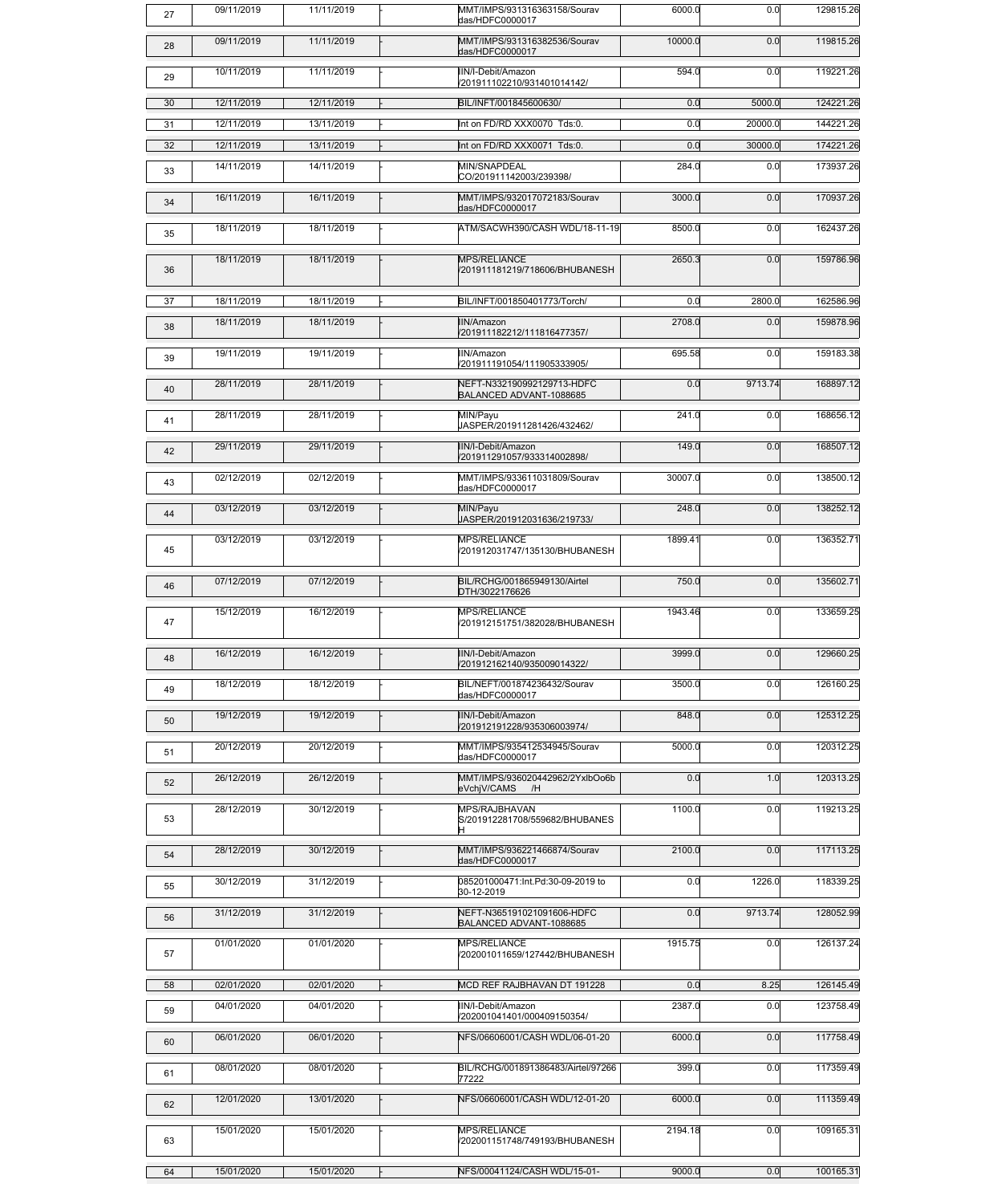| 27 | 09/11/2019 | 11/11/2019 | MMT/IMPS/931316363158/Sourav<br>das/HDFC0000017       | 6000.0  | 0.0     | 129815.26 |
|----|------------|------------|-------------------------------------------------------|---------|---------|-----------|
| 28 | 09/11/2019 | 11/11/2019 | MMT/IMPS/931316382536/Sourav<br>das/HDFC0000017       | 10000.0 | 0.0     | 119815.26 |
| 29 | 10/11/2019 | 11/11/2019 | IIN/I-Debit/Amazon<br>V201911102210/931401014142/     | 594.0   | 0.0     | 119221.26 |
| 30 | 12/11/2019 | 12/11/2019 | BIL/INFT/001845600630/                                | 0.0     | 5000.0  | 124221.26 |
| 31 | 12/11/2019 | 13/11/2019 | Int on FD/RD XXX0070 Tds:0.                           | 0.0     | 20000.0 | 144221.26 |
| 32 | 12/11/2019 | 13/11/2019 | Int on FD/RD XXX0071 Tds:0.                           | 0.0     | 30000.0 | 174221.26 |
| 33 | 14/11/2019 | 14/11/2019 | MIN/SNAPDEAL<br>CO/201911142003/239398/               | 284.0   | 0.0     | 173937.26 |
| 34 | 16/11/2019 | 16/11/2019 | MMT/IMPS/932017072183/Sourav<br>das/HDFC0000017       | 3000.0  | 0.0     | 170937.26 |
| 35 | 18/11/2019 | 18/11/2019 | ATM/SACWH390/CASH WDL/18-11-19                        | 8500.0  | 0.0     | 162437.26 |
| 36 | 18/11/2019 | 18/11/2019 | <b>MPS/RELIANCE</b><br>V201911181219/718606/BHUBANESH | 2650.3  | 0.0     | 159786.96 |
| 37 | 18/11/2019 | 18/11/2019 | BIL/INFT/001850401773/Torch/                          | 0.0     | 2800.0  | 162586.96 |
| 38 | 18/11/2019 | 18/11/2019 | IIN/Amazon<br>V201911182212/111816477357/             | 2708.0  | 0.0     | 159878.96 |
| 39 | 19/11/2019 | 19/11/2019 | IIN/Amazon<br>V201911191054/111905333905/             | 695.58  | 0.0     | 159183.38 |
| 40 | 28/11/2019 | 28/11/2019 | NEFT-N332190992129713-HDFC<br>BALANCED ADVANT-1088685 | 0.0     | 9713.74 | 168897.12 |
| 41 | 28/11/2019 | 28/11/2019 | MIN/Payu<br>JASPER/201911281426/432462/               | 241.0   | 0.0     | 168656.12 |
| 42 | 29/11/2019 | 29/11/2019 | IIN/I-Debit/Amazon<br>/201911291057/933314002898/     | 149.0   | 0.0     | 168507.12 |
| 43 | 02/12/2019 | 02/12/2019 | MMT/IMPS/933611031809/Sourav<br>das/HDFC0000017       | 30007.0 | 0.0     | 138500.12 |
| 44 | 03/12/2019 | 03/12/2019 | MIN/Payu<br>JASPER/201912031636/219733/               | 248.0   | 0.0     | 138252.12 |
| 45 | 03/12/2019 | 03/12/2019 | MPS/RELIANCE<br>/201912031747/135130/BHUBANESH        | 1899.41 | 0.0     | 136352.71 |
| 46 | 07/12/2019 | 07/12/2019 | BIL/RCHG/001865949130/Airtel<br>DTH/3022176626        | 750.0   | 0.0     | 135602.71 |
| 47 | 15/12/2019 | 16/12/2019 | <b>MPS/RELIANCE</b><br>V201912151751/382028/BHUBANESH | 1943.46 | 0.0     | 133659.25 |
| 48 | 16/12/2019 | 16/12/2019 | IIN/I-Debit/Amazon<br>/201912162140/935009014322/     | 3999.0  | 0.0     | 129660.25 |
| 49 | 18/12/2019 | 18/12/2019 | BIL/NEFT/001874236432/Sourav<br>das/HDFC0000017       | 3500.0  | 0.0     | 126160.25 |
| 50 | 19/12/2019 | 19/12/2019 | IIN/I-Debit/Amazon<br>/201912191228/935306003974/     | 848.0   | 0.0     | 125312.25 |
| 51 | 20/12/2019 | 20/12/2019 | MMT/IMPS/935412534945/Sourav<br>das/HDFC0000017       | 5000.0  | 0.0     | 120312.25 |
| 52 | 26/12/2019 | 26/12/2019 | MMT/IMPS/936020442962/2YxlbOo6b<br>eVchjV/CAMS<br>/H  | 0.0     | 1.0     | 120313.25 |
| 53 | 28/12/2019 | 30/12/2019 | MPS/RAJBHAVAN<br>S/201912281708/559682/BHUBANES<br>Ħ. | 1100.0  | 0.0     | 119213.25 |
| 54 | 28/12/2019 | 30/12/2019 | MMT/IMPS/936221466874/Sourav<br>das/HDFC0000017       | 2100.0  | 0.0     | 117113.25 |
| 55 | 30/12/2019 | 31/12/2019 | 085201000471:Int.Pd:30-09-2019 to<br>30-12-2019       | 0.0     | 1226.0  | 118339.25 |
| 56 | 31/12/2019 | 31/12/2019 | NEFT-N365191021091606-HDFC<br>BALANCED ADVANT-1088685 | 0.0     | 9713.74 | 128052.99 |
| 57 | 01/01/2020 | 01/01/2020 | MPS/RELIANCE<br>V202001011659/127442/BHUBANESH        | 1915.75 | 0.0     | 126137.24 |
| 58 | 02/01/2020 | 02/01/2020 | MCD REF RAJBHAVAN DT 191228                           | 0.0     | 8.25    | 126145.49 |
| 59 | 04/01/2020 | 04/01/2020 | IIN/I-Debit/Amazon<br>V202001041401/000409150354/     | 2387.0  | 0.0     | 123758.49 |
| 60 | 06/01/2020 | 06/01/2020 | NFS/06606001/CASH WDL/06-01-20                        | 6000.0  | 0.0     | 117758.49 |
| 61 | 08/01/2020 | 08/01/2020 | BIL/RCHG/001891386483/Airtel/97266<br>77222           | 399.0   | 0.0     | 117359.49 |
| 62 | 12/01/2020 | 13/01/2020 | NFS/06606001/CASH WDL/12-01-20                        | 6000.0  | 0.0     | 111359.49 |
| 63 | 15/01/2020 | 15/01/2020 | <b>MPS/RELIANCE</b><br>V202001151748/749193/BHUBANESH | 2194.18 | 0.0     | 109165.31 |
| 64 | 15/01/2020 | 15/01/2020 | NFS/00041124/CASH WDL/15-01-                          | 9000.0  | 0.0     | 100165.31 |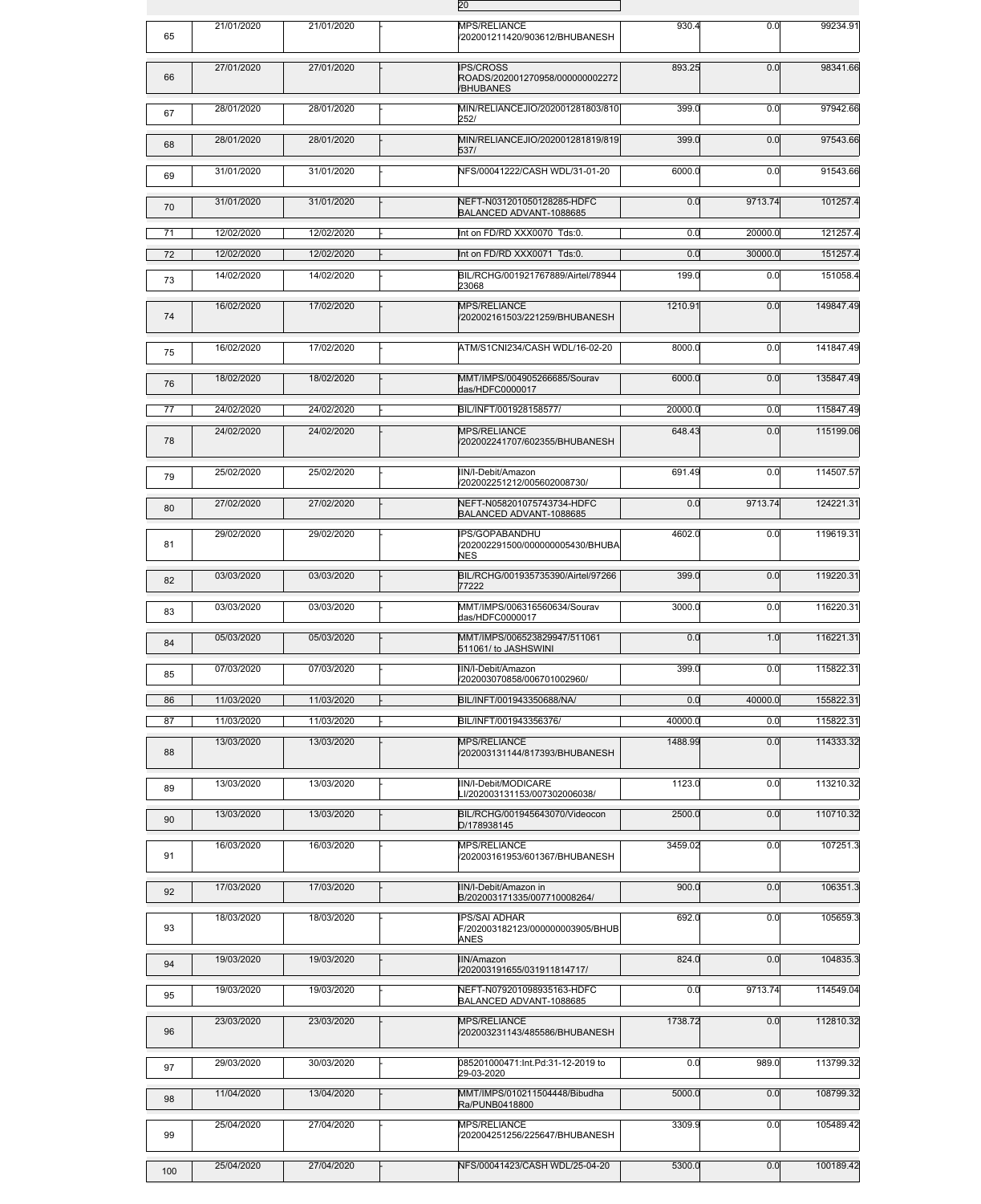|     |            |            | 20                                                                      |         |         |           |
|-----|------------|------------|-------------------------------------------------------------------------|---------|---------|-----------|
| 65  | 21/01/2020 | 21/01/2020 | MPS/RELIANCE<br>V202001211420/903612/BHUBANESH                          | 930.4   | 0.0     | 99234.91  |
| 66  | 27/01/2020 | 27/01/2020 | <b>IPS/CROSS</b><br>ROADS/202001270958/000000002272<br><b>/BHUBANES</b> | 893.25  | 0.0     | 98341.66  |
| 67  | 28/01/2020 | 28/01/2020 | MIN/RELIANCEJIO/202001281803/810<br>252/                                | 399.0   | 0.0     | 97942.66  |
| 68  | 28/01/2020 | 28/01/2020 | MIN/RELIANCEJIO/202001281819/819<br>537/                                | 399.0   | 0.0     | 97543.66  |
| 69  | 31/01/2020 | 31/01/2020 | NFS/00041222/CASH WDL/31-01-20                                          | 6000.0  | 0.0     | 91543.66  |
| 70  | 31/01/2020 | 31/01/2020 | NEFT-N031201050128285-HDFC<br>BALANCED ADVANT-1088685                   | 0.0     | 9713.74 | 101257.4  |
| 71  | 12/02/2020 | 12/02/2020 | Int on FD/RD XXX0070 Tds:0.                                             | 0.0     | 20000.0 | 121257.4  |
| 72  | 12/02/2020 | 12/02/2020 | Int on FD/RD XXX0071 Tds:0.                                             | 0.0     | 30000.0 | 151257.4  |
| 73  | 14/02/2020 | 14/02/2020 | BIL/RCHG/001921767889/Airtel/78944<br>23068                             | 199.0   | 0.0     | 151058.4  |
| 74  | 16/02/2020 | 17/02/2020 | MPS/RELIANCE<br>/202002161503/221259/BHUBANESH                          | 1210.91 | 0.0     | 149847.49 |
| 75  | 16/02/2020 | 17/02/2020 | ATM/S1CNI234/CASH WDL/16-02-20                                          | 8000.0  | 0.0     | 141847.49 |
| 76  | 18/02/2020 | 18/02/2020 | MMT/IMPS/004905266685/Sourav<br>das/HDFC0000017                         | 6000.0  | 0.0     | 135847.49 |
| 77  | 24/02/2020 | 24/02/2020 | BIL/INFT/001928158577/                                                  | 20000.0 | 0.0     | 115847.49 |
| 78  | 24/02/2020 | 24/02/2020 | MPS/RELIANCE<br>/202002241707/602355/BHUBANESH                          | 648.43  | 0.0     | 115199.06 |
| 79  | 25/02/2020 | 25/02/2020 | IIN/I-Debit/Amazon<br>/202002251212/005602008730/                       | 691.49  | 0.0     | 114507.57 |
| 80  | 27/02/2020 | 27/02/2020 | NEFT-N058201075743734-HDFC<br>BALANCED ADVANT-1088685                   | 0.0     | 9713.74 | 124221.31 |
| 81  | 29/02/2020 | 29/02/2020 | <b>IPS/GOPABANDHU</b><br>V202002291500/000000005430/BHUBA<br><b>NES</b> | 4602.0  | 0.0     | 119619.31 |
| 82  | 03/03/2020 | 03/03/2020 | BIL/RCHG/001935735390/Airtel/97266<br>77222                             | 399.0   | 0.0     | 119220.31 |
| 83  | 03/03/2020 | 03/03/2020 | MMT/IMPS/006316560634/Sourav<br>das/HDFC0000017                         | 3000.0  | 0.0     | 116220.31 |
| 84  | 05/03/2020 | 05/03/2020 | MMT/IMPS/006523829947/511061<br>511061/ to JASHSWINI                    | 0.0     | 1.0     | 116221.31 |
| 85  | 07/03/2020 | 07/03/2020 | IIN/I-Debit/Amazon<br>/202003070858/006701002960/                       | 399.0   | 0.0     | 115822.31 |
| 86  | 11/03/2020 | 11/03/2020 | BIL/INFT/001943350688/NA/                                               | 0.0     | 40000.0 | 155822.31 |
| 87  | 11/03/2020 | 11/03/2020 | BIL/INFT/001943356376/                                                  | 40000.0 | 0.0     | 115822.31 |
| 88  | 13/03/2020 | 13/03/2020 | MPS/RELIANCE<br>/202003131144/817393/BHUBANESH                          | 1488.99 | 0.0     | 114333.32 |
| 89  | 13/03/2020 | 13/03/2020 | IIN/I-Debit/MODICARE<br>LI/202003131153/007302006038/                   | 1123.0  | 0.0     | 113210.32 |
| 90  | 13/03/2020 | 13/03/2020 | BIL/RCHG/001945643070/Videocon<br>D/178938145                           | 2500.0  | 0.0     | 110710.32 |
| 91  | 16/03/2020 | 16/03/2020 | MPS/RELIANCE<br>V202003161953/601367/BHUBANESH                          | 3459.02 | 0.0     | 107251.3  |
| 92  | 17/03/2020 | 17/03/2020 | IIN/I-Debit/Amazon in<br>B/202003171335/007710008264/                   | 900.0   | 0.0     | 106351.3  |
| 93  | 18/03/2020 | 18/03/2020 | <b>IPS/SAI ADHAR</b><br>F/202003182123/000000003905/BHUB<br><b>ANES</b> | 692.0   | 0.0     | 105659.3  |
| 94  | 19/03/2020 | 19/03/2020 | IIN/Amazon<br>V202003191655/031911814717/                               | 824.0   | 0.0     | 104835.3  |
| 95  | 19/03/2020 | 19/03/2020 | NEFT-N079201098935163-HDFC<br>BALANCED ADVANT-1088685                   | 0.0     | 9713.74 | 114549.04 |
| 96  | 23/03/2020 | 23/03/2020 | MPS/RELIANCE<br>V202003231143/485586/BHUBANESH                          | 1738.72 | 0.0     | 112810.32 |
| 97  | 29/03/2020 | 30/03/2020 | 085201000471:Int.Pd:31-12-2019 to<br>29-03-2020                         | 0.0     | 989.0   | 113799.32 |
| 98  | 11/04/2020 | 13/04/2020 | MMT/IMPS/010211504448/Bibudha<br>Ra/PUNB0418800                         | 5000.0  | 0.0     | 108799.32 |
| 99  | 25/04/2020 | 27/04/2020 | <b>MPS/RELIANCE</b><br>/202004251256/225647/BHUBANESH                   | 3309.9  | 0.0     | 105489.42 |
| 100 | 25/04/2020 | 27/04/2020 | NFS/00041423/CASH WDL/25-04-20                                          | 5300.0  | 0.0     | 100189.42 |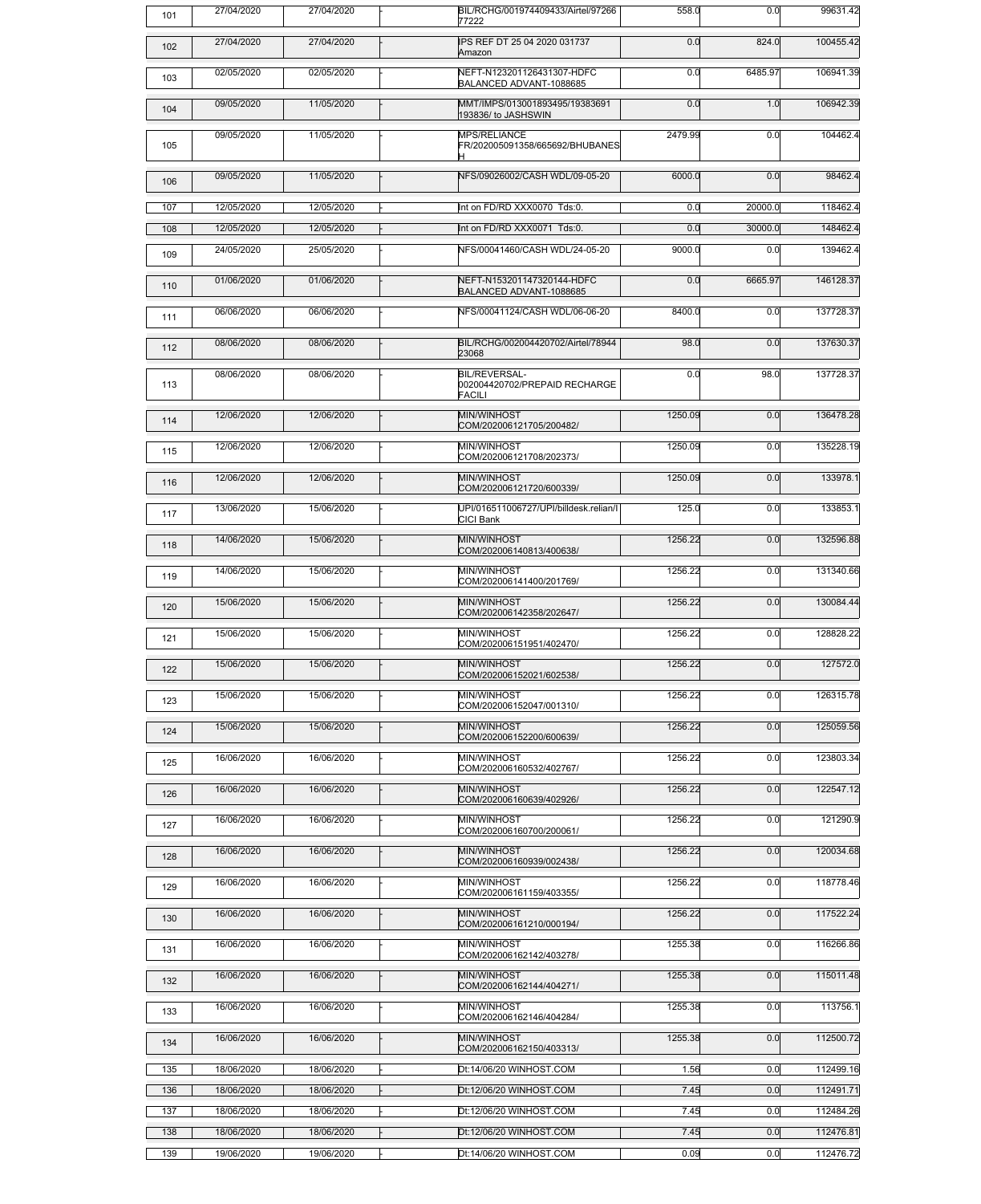| 101 | 27/04/2020 | 27/04/2020 | BIL/RCHG/001974409433/Airtel/97266<br>77222                     | 558.0   | 0.0     | 99631.42  |
|-----|------------|------------|-----------------------------------------------------------------|---------|---------|-----------|
| 102 | 27/04/2020 | 27/04/2020 | <b>IPS REF DT 25 04 2020 031737</b><br>Amazon                   | 0.0     | 824.0   | 100455.42 |
| 103 | 02/05/2020 | 02/05/2020 | NEFT-N123201126431307-HDFC<br>BALANCED ADVANT-1088685           | 0.0     | 6485.97 | 106941.39 |
| 104 | 09/05/2020 | 11/05/2020 | MMT/IMPS/013001893495/19383691<br>193836/ to JASHSWIN           | 0.0     | 1.0     | 106942.39 |
| 105 | 09/05/2020 | 11/05/2020 | <b>MPS/RELIANCE</b><br>FR/202005091358/665692/BHUBANES          | 2479.99 | 0.0     | 104462.4  |
| 106 | 09/05/2020 | 11/05/2020 | NFS/09026002/CASH WDL/09-05-20                                  | 6000.0  | 0.0     | 98462.4   |
| 107 | 12/05/2020 | 12/05/2020 | Int on FD/RD XXX0070 Tds:0.                                     | 0.0     | 20000.0 | 118462.4  |
| 108 | 12/05/2020 | 12/05/2020 | Int on FD/RD XXX0071 Tds:0.                                     | 0.0     | 30000.0 | 148462.4  |
| 109 | 24/05/2020 | 25/05/2020 | NFS/00041460/CASH WDL/24-05-20                                  | 9000.0  | 0.0     | 139462.4  |
| 110 | 01/06/2020 | 01/06/2020 | NEFT-N153201147320144-HDFC<br>BALANCED ADVANT-1088685           | 0.0     | 6665.97 | 146128.37 |
| 111 | 06/06/2020 | 06/06/2020 | NFS/00041124/CASH WDL/06-06-20                                  | 8400.0  | 0.0     | 137728.37 |
| 112 | 08/06/2020 | 08/06/2020 | BIL/RCHG/002004420702/Airtel/78944<br>23068                     | 98.0    | 0.0     | 137630.37 |
| 113 | 08/06/2020 | 08/06/2020 | <b>BIL/REVERSAL-</b><br>002004420702/PREPAID RECHARGE<br>FACILI | 0.0     | 98.0    | 137728.37 |
| 114 | 12/06/2020 | 12/06/2020 | MIN/WINHOST<br>COM/202006121705/200482/                         | 1250.09 | 0.0     | 136478.28 |
| 115 | 12/06/2020 | 12/06/2020 | MIN/WINHOST<br>COM/202006121708/202373/                         | 1250.09 | 0.0     | 135228.19 |
| 116 | 12/06/2020 | 12/06/2020 | MIN/WINHOST<br>COM/202006121720/600339/                         | 1250.09 | 0.0     | 133978.1  |
| 117 | 13/06/2020 | 15/06/2020 | UPI/016511006727/UPI/billdesk.relian/l<br><b>CICI Bank</b>      | 125.0   | 0.0     | 133853.1  |
| 118 | 14/06/2020 | 15/06/2020 | MIN/WINHOST<br>COM/202006140813/400638/                         | 1256.22 | 0.0     | 132596.88 |
| 119 | 14/06/2020 | 15/06/2020 | MIN/WINHOST<br>COM/202006141400/201769/                         | 1256.22 | 0.0     | 131340.66 |
| 120 | 15/06/2020 | 15/06/2020 | MIN/WINHOST<br>COM/202006142358/202647/                         | 1256.22 | 0.0     | 130084.44 |
| 121 | 15/06/2020 | 15/06/2020 | MIN/WINHOST<br>COM/202006151951/402470/                         | 1256.22 | 0.0     | 128828.22 |
| 122 | 15/06/2020 | 15/06/2020 | MIN/WINHOST<br>COM/202006152021/602538/                         | 1256.22 | 0.0     | 127572.0  |
| 123 | 15/06/2020 | 15/06/2020 | MIN/WINHOST<br>COM/202006152047/001310/                         | 1256.22 | 0.0     | 126315.78 |
| 124 | 15/06/2020 | 15/06/2020 | MIN/WINHOST<br>COM/202006152200/600639/                         | 1256.22 | 0.0     | 125059.56 |
| 125 | 16/06/2020 | 16/06/2020 | MIN/WINHOST<br>COM/202006160532/402767/                         | 1256.22 | 0.0     | 123803.34 |
| 126 | 16/06/2020 | 16/06/2020 | MIN/WINHOST<br>COM/202006160639/402926/                         | 1256.22 | 0.0     | 122547.12 |
| 127 | 16/06/2020 | 16/06/2020 | MIN/WINHOST<br>COM/202006160700/200061/                         | 1256.22 | 0.0     | 121290.9  |
| 128 | 16/06/2020 | 16/06/2020 | MIN/WINHOST<br>COM/202006160939/002438/                         | 1256.22 | 0.0     | 120034.68 |
| 129 | 16/06/2020 | 16/06/2020 | MIN/WINHOST<br>COM/202006161159/403355/                         | 1256.22 | 0.0     | 118778.46 |
| 130 | 16/06/2020 | 16/06/2020 | MIN/WINHOST<br>COM/202006161210/000194/                         | 1256.22 | 0.0     | 117522.24 |
| 131 | 16/06/2020 | 16/06/2020 | MIN/WINHOST<br>COM/202006162142/403278/                         | 1255.38 | 0.0     | 116266.86 |
| 132 | 16/06/2020 | 16/06/2020 | MIN/WINHOST<br>COM/202006162144/404271/                         | 1255.38 | 0.0     | 115011.48 |
| 133 | 16/06/2020 | 16/06/2020 | MIN/WINHOST<br>COM/202006162146/404284/                         | 1255.38 | 0.0     | 113756.1  |
| 134 | 16/06/2020 | 16/06/2020 | MIN/WINHOST<br>COM/202006162150/403313/                         | 1255.38 | 0.0     | 112500.72 |
| 135 | 18/06/2020 | 18/06/2020 | Dt:14/06/20 WINHOST.COM                                         | 1.56    | 0.0     | 112499.16 |
| 136 | 18/06/2020 | 18/06/2020 | Dt:12/06/20 WINHOST.COM                                         | 7.45    | 0.0     | 112491.71 |
| 137 | 18/06/2020 | 18/06/2020 | Dt:12/06/20 WINHOST.COM                                         | 7.45    | 0.0     | 112484.26 |
| 138 | 18/06/2020 | 18/06/2020 | Dt:12/06/20 WINHOST.COM                                         | 7.45    | 0.0     | 112476.81 |
| 139 | 19/06/2020 | 19/06/2020 | Dt:14/06/20 WINHOST.COM                                         | 0.09    | 0.0     | 112476.72 |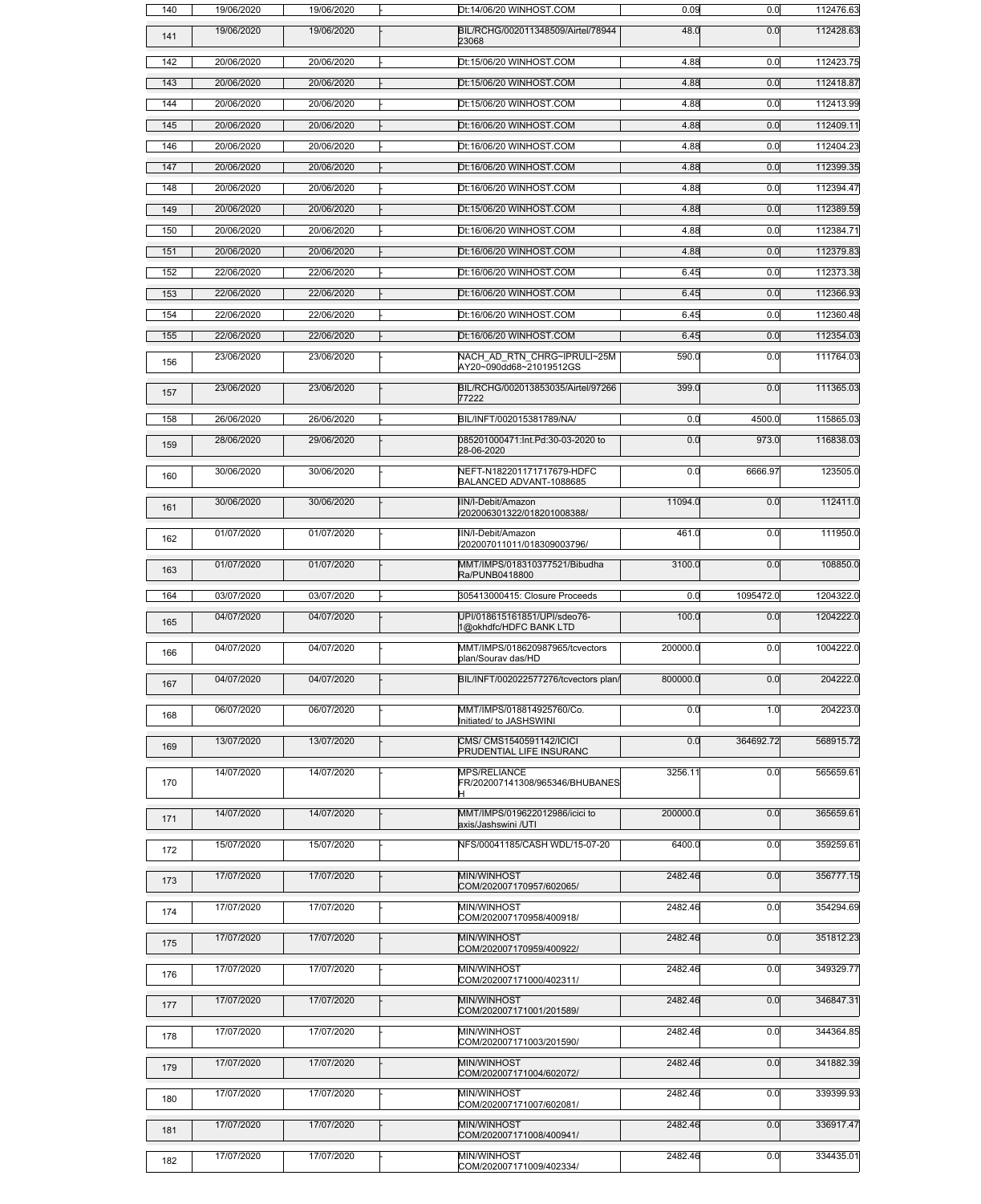| 140 | 19/06/2020 | 19/06/2020 | Dt:14/06/20 WINHOST.COM                                     | 0.09     | 0.0       | 112476.63 |
|-----|------------|------------|-------------------------------------------------------------|----------|-----------|-----------|
| 141 | 19/06/2020 | 19/06/2020 | BIL/RCHG/002011348509/Airtel/78944<br>23068                 | 48.0     | 0.0       | 112428.63 |
| 142 | 20/06/2020 | 20/06/2020 | Dt:15/06/20 WINHOST.COM                                     | 4.88     | 0.0       | 112423.75 |
| 143 | 20/06/2020 | 20/06/2020 | Dt:15/06/20 WINHOST.COM                                     | 4.88     | 0.0       | 112418.87 |
| 144 | 20/06/2020 | 20/06/2020 | Dt:15/06/20 WINHOST.COM                                     | 4.88     | 0.0       | 112413.99 |
| 145 | 20/06/2020 | 20/06/2020 | Dt:16/06/20 WINHOST.COM                                     | 4.88     | 0.0       | 112409.11 |
| 146 | 20/06/2020 | 20/06/2020 | Dt:16/06/20 WINHOST.COM                                     | 4.88     | 0.0       | 112404.23 |
| 147 | 20/06/2020 | 20/06/2020 | Dt:16/06/20 WINHOST.COM                                     | 4.88     | 0.0       | 112399.35 |
| 148 | 20/06/2020 | 20/06/2020 | Dt:16/06/20 WINHOST.COM                                     | 4.88     | 0.0       | 112394.47 |
| 149 | 20/06/2020 | 20/06/2020 | Dt:15/06/20 WINHOST.COM                                     | 4.88     | 0.0       | 112389.59 |
| 150 | 20/06/2020 | 20/06/2020 | Dt:16/06/20 WINHOST.COM                                     | 4.88     | 0.0       | 112384.71 |
| 151 | 20/06/2020 | 20/06/2020 | Dt:16/06/20 WINHOST.COM                                     | 4.88     | 0.0       | 112379.83 |
| 152 | 22/06/2020 | 22/06/2020 | Dt:16/06/20 WINHOST.COM                                     | 6.45     | 0.0       | 112373.38 |
| 153 | 22/06/2020 | 22/06/2020 | Dt:16/06/20 WINHOST.COM                                     | 6.45     | 0.0       | 112366.93 |
| 154 | 22/06/2020 | 22/06/2020 | Dt:16/06/20 WINHOST.COM                                     | 6.45     | 0.0       | 112360.48 |
| 155 | 22/06/2020 | 22/06/2020 | Dt:16/06/20 WINHOST.COM                                     | 6.45     | 0.0       | 112354.03 |
| 156 | 23/06/2020 | 23/06/2020 | NACH_AD_RTN_CHRG~IPRULI~25M<br>AY20~090dd68~21019512GS      | 590.0    | 0.0       | 111764.03 |
| 157 | 23/06/2020 | 23/06/2020 | BIL/RCHG/002013853035/Airtel/97266<br>77222                 | 399.0    | 0.0       | 111365.03 |
| 158 | 26/06/2020 | 26/06/2020 | BIL/INFT/002015381789/NA/                                   | 0.0      | 4500.0    | 115865.03 |
| 159 | 28/06/2020 | 29/06/2020 | 085201000471:Int.Pd:30-03-2020 to                           | 0.0      | 973.0     | 116838.03 |
| 160 | 30/06/2020 | 30/06/2020 | 28-06-2020<br>NEFT-N182201171717679-HDFC                    | 0.0      | 6666.97   | 123505.0  |
|     | 30/06/2020 | 30/06/2020 | BALANCED ADVANT-1088685<br>IIN/I-Debit/Amazon               | 11094.0  | 0.0       | 112411.0  |
| 161 |            |            | /202006301322/018201008388/                                 |          |           |           |
| 162 | 01/07/2020 | 01/07/2020 | IIN/I-Debit/Amazon<br>/202007011011/018309003796/           | 461.0    | 0.0       | 111950.0  |
| 163 | 01/07/2020 | 01/07/2020 | MMT/IMPS/018310377521/Bibudha<br>Ra/PUNB0418800             | 3100.0   | 0.0       | 108850.0  |
| 164 | 03/07/2020 | 03/07/2020 | 305413000415: Closure Proceeds                              | 0.0      | 1095472.0 | 1204322.0 |
| 165 | 04/07/2020 | 04/07/2020 | UPI/018615161851/UPI/sdeo76-<br>1@okhdfc/HDFC BANK LTD      | 100.0    | 0.0       | 1204222.0 |
| 166 | 04/07/2020 | 04/07/2020 | MMT/IMPS/018620987965/tcvectors<br>plan/Sourav das/HD       | 200000.0 | 0.0       | 1004222.0 |
| 167 | 04/07/2020 | 04/07/2020 | BIL/INFT/002022577276/tcvectors plan/                       | 800000.0 | 0.0       | 204222.0  |
| 168 | 06/07/2020 | 06/07/2020 | MMT/IMPS/018814925760/Co.<br>Initiated/ to JASHSWINI        | 0.0      | 1.0       | 204223.0  |
| 169 | 13/07/2020 | 13/07/2020 | CMS/ CMS1540591142/ICICI<br><b>PRUDENTIAL LIFE INSURANC</b> | 0.0      | 364692.72 | 568915.72 |
| 170 | 14/07/2020 | 14/07/2020 | <b>MPS/RELIANCE</b><br>FR/202007141308/965346/BHUBANES      | 3256.11  | 0.0       | 565659.61 |
| 171 | 14/07/2020 | 14/07/2020 | MMT/IMPS/019622012986/icici to<br>axis/Jashswini /UTI       | 200000.0 | 0.0       | 365659.61 |
| 172 | 15/07/2020 | 15/07/2020 | NFS/00041185/CASH WDL/15-07-20                              | 6400.0   | 0.0       | 359259.61 |
| 173 | 17/07/2020 | 17/07/2020 | MIN/WINHOST<br>COM/202007170957/602065/                     | 2482.46  | 0.0       | 356777.15 |
| 174 | 17/07/2020 | 17/07/2020 | MIN/WINHOST<br>COM/202007170958/400918/                     | 2482.46  | 0.0       | 354294.69 |
| 175 | 17/07/2020 | 17/07/2020 | MIN/WINHOST<br>COM/202007170959/400922/                     | 2482.46  | 0.0       | 351812.23 |
| 176 | 17/07/2020 | 17/07/2020 | MIN/WINHOST<br>COM/202007171000/402311/                     | 2482.46  | 0.0       | 349329.77 |
| 177 | 17/07/2020 | 17/07/2020 | MIN/WINHOST<br>COM/202007171001/201589/                     | 2482.46  | 0.0       | 346847.31 |
| 178 | 17/07/2020 | 17/07/2020 | MIN/WINHOST<br>COM/202007171003/201590/                     | 2482.46  | 0.0       | 344364.85 |
| 179 | 17/07/2020 | 17/07/2020 | MIN/WINHOST<br>COM/202007171004/602072/                     | 2482.46  | 0.0       | 341882.39 |
| 180 | 17/07/2020 | 17/07/2020 | MIN/WINHOST<br>COM/202007171007/602081/                     | 2482.46  | 0.0       | 339399.93 |
| 181 | 17/07/2020 | 17/07/2020 | MIN/WINHOST<br>COM/202007171008/400941/                     | 2482.46  | 0.0       | 336917.47 |
| 182 | 17/07/2020 | 17/07/2020 | MIN/WINHOST<br>COM/202007171009/402334/                     | 2482.46  | 0.0       | 334435.01 |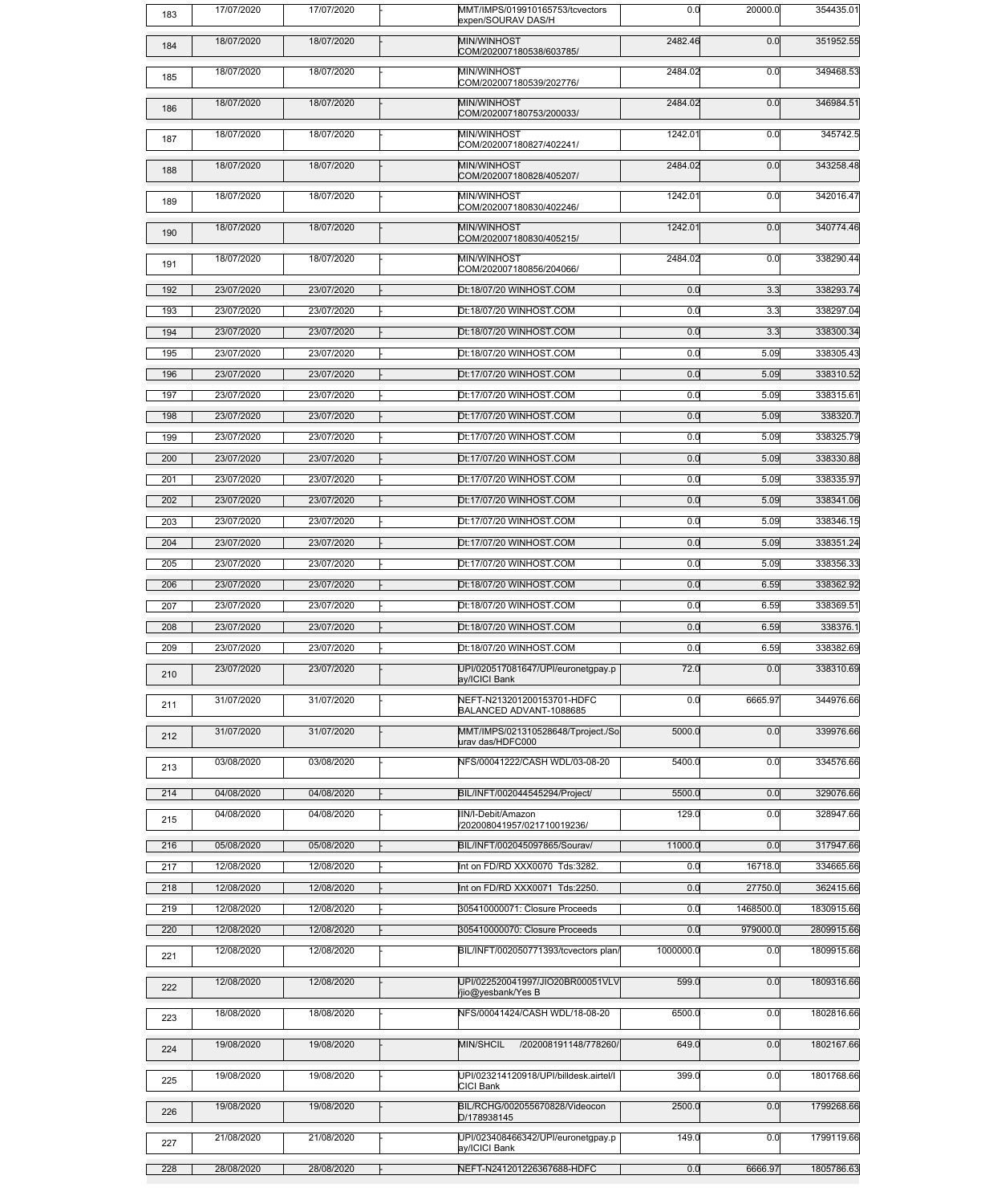| 183 | 17/07/2020 | 17/07/2020 | MMT/IMPS/019910165753/tcvectors<br>expen/SOURAV DAS/H      | 0.0       | 20000.0   | 354435.01  |
|-----|------------|------------|------------------------------------------------------------|-----------|-----------|------------|
| 184 | 18/07/2020 | 18/07/2020 | MIN/WINHOST<br>COM/202007180538/603785/                    | 2482.46   | 0.0       | 351952.55  |
| 185 | 18/07/2020 | 18/07/2020 | MIN/WINHOST<br>COM/202007180539/202776/                    | 2484.02   | 0.0       | 349468.53  |
| 186 | 18/07/2020 | 18/07/2020 | MIN/WINHOST<br>COM/202007180753/200033/                    | 2484.02   | 0.0       | 346984.51  |
| 187 | 18/07/2020 | 18/07/2020 | MIN/WINHOST<br>COM/202007180827/402241/                    | 1242.01   | 0.0       | 345742.5   |
| 188 | 18/07/2020 | 18/07/2020 | MIN/WINHOST<br>COM/202007180828/405207/                    | 2484.02   | 0.0       | 343258.48  |
| 189 | 18/07/2020 | 18/07/2020 | MIN/WINHOST<br>COM/202007180830/402246/                    | 1242.01   | 0.0       | 342016.47  |
| 190 | 18/07/2020 | 18/07/2020 | MIN/WINHOST<br>COM/202007180830/405215/                    | 1242.01   | 0.0       | 340774.46  |
| 191 | 18/07/2020 | 18/07/2020 | MIN/WINHOST<br>COM/202007180856/204066/                    | 2484.02   | 0.0       | 338290.44  |
| 192 | 23/07/2020 | 23/07/2020 | Dt:18/07/20 WINHOST.COM                                    | 0.0       | 3.3       | 338293.74  |
| 193 | 23/07/2020 | 23/07/2020 | Dt:18/07/20 WINHOST.COM                                    | 0.0       | 3.3       | 338297.04  |
| 194 | 23/07/2020 | 23/07/2020 | Dt:18/07/20 WINHOST.COM                                    | 0.0       | 3.3       | 338300.34  |
| 195 | 23/07/2020 | 23/07/2020 | Dt:18/07/20 WINHOST.COM                                    | 0.0       | 5.09      | 338305.43  |
| 196 | 23/07/2020 | 23/07/2020 | Dt:17/07/20 WINHOST.COM                                    | 0.0       | 5.09      | 338310.52  |
| 197 | 23/07/2020 | 23/07/2020 | Dt:17/07/20 WINHOST.COM                                    | 0.0       | 5.09      | 338315.61  |
| 198 | 23/07/2020 | 23/07/2020 | Dt:17/07/20 WINHOST.COM                                    | 0.0       | 5.09      | 338320.7   |
| 199 | 23/07/2020 | 23/07/2020 | Dt:17/07/20 WINHOST.COM                                    | 0.0       | 5.09      | 338325.79  |
|     |            |            |                                                            |           |           |            |
| 200 | 23/07/2020 | 23/07/2020 | Dt:17/07/20 WINHOST.COM                                    | 0.0       | 5.09      | 338330.88  |
| 201 | 23/07/2020 | 23/07/2020 | Dt:17/07/20 WINHOST.COM                                    | 0.0       | 5.09      | 338335.97  |
| 202 | 23/07/2020 | 23/07/2020 | Dt:17/07/20 WINHOST.COM                                    | 0.0       | 5.09      | 338341.06  |
| 203 | 23/07/2020 | 23/07/2020 | Dt:17/07/20 WINHOST.COM                                    | 0.0       | 5.09      | 338346.15  |
| 204 | 23/07/2020 | 23/07/2020 | Dt:17/07/20 WINHOST.COM                                    | 0.0       | 5.09      | 338351.24  |
| 205 | 23/07/2020 | 23/07/2020 | Dt:17/07/20 WINHOST.COM                                    | 0.0       | 5.09      | 338356.33  |
| 206 | 23/07/2020 | 23/07/2020 | Dt:18/07/20 WINHOST.COM                                    | 0.0       | 6.59      | 338362.92  |
| 207 | 23/07/2020 | 23/07/2020 | Dt:18/07/20 WINHOST.COM                                    | 0.0       | 6.59      | 338369.51  |
| 208 | 23/07/2020 | 23/07/2020 | Dt:18/07/20 WINHOST.COM                                    | 0.0       | 6.59      | 338376.1   |
| 209 | 23/07/2020 | 23/07/2020 | Dt:18/07/20 WINHOST.COM                                    | 0.0       | 6.59      | 338382.69  |
| 210 | 23/07/2020 | 23/07/2020 | UPI/020517081647/UPI/euronetgpay.p<br>ay/ICICI Bank        | 72.0      | 0.0       | 338310.69  |
| 211 | 31/07/2020 | 31/07/2020 | NEFT-N213201200153701-HDFC<br>BALANCED ADVANT-1088685      | 0.0       | 6665.97   | 344976.66  |
| 212 | 31/07/2020 | 31/07/2020 | MMT/IMPS/021310528648/Tproject./So<br>urav das/HDFC000     | 5000.0    | 0.0       | 339976.66  |
| 213 | 03/08/2020 | 03/08/2020 | NFS/00041222/CASH WDL/03-08-20                             | 5400.0    | 0.0       | 334576.66  |
| 214 | 04/08/2020 | 04/08/2020 | BIL/INFT/002044545294/Project/                             | 5500.0    | 0.0       | 329076.66  |
| 215 | 04/08/2020 | 04/08/2020 | IIN/I-Debit/Amazon<br>V202008041957/021710019236/          | 129.0     | 0.0       | 328947.66  |
| 216 | 05/08/2020 | 05/08/2020 | BIL/INFT/002045097865/Sourav/                              | 11000.0   | 0.0       | 317947.66  |
| 217 | 12/08/2020 | 12/08/2020 | Int on FD/RD XXX0070 Tds:3282.                             | 0.0       | 16718.0   | 334665.66  |
| 218 | 12/08/2020 | 12/08/2020 | Int on FD/RD XXX0071 Tds:2250.                             | 0.0       | 27750.0   | 362415.66  |
| 219 | 12/08/2020 | 12/08/2020 | 305410000071: Closure Proceeds                             | 0.0       | 1468500.0 | 1830915.66 |
| 220 | 12/08/2020 | 12/08/2020 | 305410000070: Closure Proceeds                             | 0.0       | 979000.0  | 2809915.66 |
| 221 | 12/08/2020 | 12/08/2020 | BIL/INFT/002050771393/tcvectors plan/                      | 1000000.0 | 0.0       | 1809915.66 |
| 222 | 12/08/2020 | 12/08/2020 | UPI/022520041997/JIO20BR00051VLV<br>Vijo@yesbank/Yes B     | 599.0     | 0.0       | 1809316.66 |
| 223 | 18/08/2020 | 18/08/2020 | NFS/00041424/CASH WDL/18-08-20                             | 6500.0    | 0.0       | 1802816.66 |
| 224 | 19/08/2020 | 19/08/2020 | MIN/SHCIL<br>/202008191148/778260/                         | 649.0     | 0.0       | 1802167.66 |
| 225 | 19/08/2020 | 19/08/2020 | UPI/023214120918/UPI/billdesk.airtel/I<br><b>CICI Bank</b> | 399.0     | 0.0       | 1801768.66 |
| 226 | 19/08/2020 | 19/08/2020 | BIL/RCHG/002055670828/Videocon<br>D/178938145              | 2500.0    | 0.0       | 1799268.66 |
| 227 | 21/08/2020 | 21/08/2020 | UPI/023408466342/UPI/euronetgpay.p<br>ay/ICICI Bank        | 149.0     | 0.0       | 1799119.66 |
| 228 | 28/08/2020 | 28/08/2020 | NEFT-N241201226367688-HDFC                                 | 0.0       | 6666.97   | 1805786.63 |